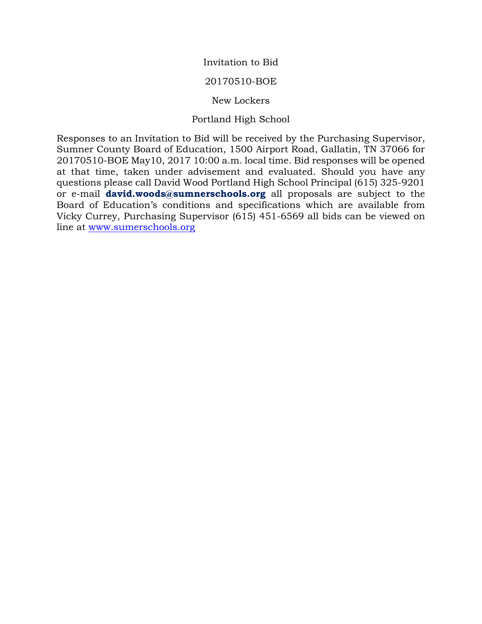Invitation to Bid

### 20170510-BOE

### New Lockers

## Portland High School

Responses to an Invitation to Bid will be received by the Purchasing Supervisor, Sumner County Board of Education, 1500 Airport Road, Gallatin, TN 37066 for 20170510-BOE May10, 2017 10:00 a.m. local time. Bid responses will be opened at that time, taken under advisement and evaluated. Should you have any questions please call David Wood Portland High School Principal (615) 325-9201 or e-mail **david.woods@sumnerschools.org** all proposals are subject to the Board of Education's conditions and specifications which are available from Vicky Currey, Purchasing Supervisor (615) 451-6569 all bids can be viewed on line at [www.sumerschools.org](http://www.sumerschools.org/)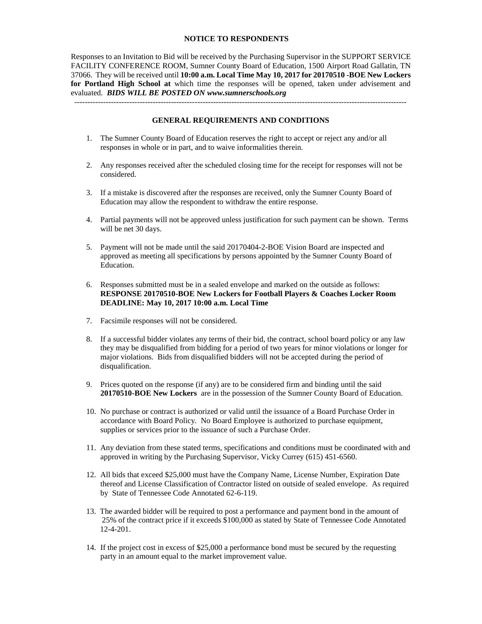#### **NOTICE TO RESPONDENTS**

Responses to an Invitation to Bid will be received by the Purchasing Supervisor in the SUPPORT SERVICE FACILITY CONFERENCE ROOM, Sumner County Board of Education, 1500 Airport Road Gallatin, TN 37066. They will be received until **10:00 a.m. Local Time May 10, 2017 for 20170510 -BOE New Lockers for Portland High School at** which time the responses will be opened, taken under advisement and evaluated. *BIDS WILL BE POSTED ON www.sumnerschools.org*

#### **GENERAL REQUIREMENTS AND CONDITIONS**

-------------------------------------------------------------------------------------------------------------------------------

- 1. The Sumner County Board of Education reserves the right to accept or reject any and/or all responses in whole or in part, and to waive informalities therein.
- 2. Any responses received after the scheduled closing time for the receipt for responses will not be considered.
- 3. If a mistake is discovered after the responses are received, only the Sumner County Board of Education may allow the respondent to withdraw the entire response.
- 4. Partial payments will not be approved unless justification for such payment can be shown. Terms will be net 30 days.
- 5. Payment will not be made until the said 20170404-2-BOE Vision Board are inspected and approved as meeting all specifications by persons appointed by the Sumner County Board of Education.
- 6. Responses submitted must be in a sealed envelope and marked on the outside as follows: **RESPONSE 20170510-BOE New Lockers for Football Players & Coaches Locker Room DEADLINE: May 10, 2017 10:00 a.m. Local Time**
- 7. Facsimile responses will not be considered.
- 8. If a successful bidder violates any terms of their bid, the contract, school board policy or any law they may be disqualified from bidding for a period of two years for minor violations or longer for major violations. Bids from disqualified bidders will not be accepted during the period of disqualification.
- 9. Prices quoted on the response (if any) are to be considered firm and binding until the said **20170510-BOE New Lockers** are in the possession of the Sumner County Board of Education.
- 10. No purchase or contract is authorized or valid until the issuance of a Board Purchase Order in accordance with Board Policy. No Board Employee is authorized to purchase equipment, supplies or services prior to the issuance of such a Purchase Order.
- 11. Any deviation from these stated terms, specifications and conditions must be coordinated with and approved in writing by the Purchasing Supervisor, Vicky Currey (615) 451-6560.
- 12. All bids that exceed \$25,000 must have the Company Name, License Number, Expiration Date thereof and License Classification of Contractor listed on outside of sealed envelope. As required by State of Tennessee Code Annotated 62-6-119.
- 13. The awarded bidder will be required to post a performance and payment bond in the amount of 25% of the contract price if it exceeds \$100,000 as stated by State of Tennessee Code Annotated 12-4-201.
- 14. If the project cost in excess of \$25,000 a performance bond must be secured by the requesting party in an amount equal to the market improvement value.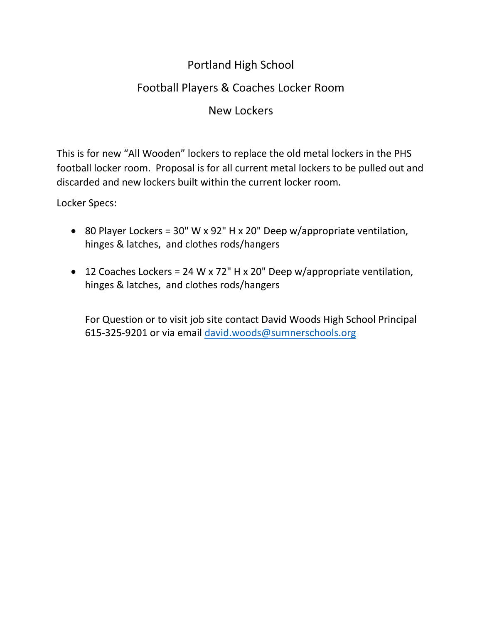# Portland High School

# Football Players & Coaches Locker Room

# New Lockers

This is for new "All Wooden" lockers to replace the old metal lockers in the PHS football locker room. Proposal is for all current metal lockers to be pulled out and discarded and new lockers built within the current locker room.

Locker Specs:

- 80 Player Lockers = 30" W x 92" H x 20" Deep w/appropriate ventilation, hinges & latches, and clothes rods/hangers
- 12 Coaches Lockers = 24 W x 72" H x 20" Deep w/appropriate ventilation, hinges & latches, and clothes rods/hangers

For Question or to visit job site contact David Woods High School Principal 615-325-9201 or via email [david.woods@sumnerschools.org](mailto:david.woods@sumnerschools.org)